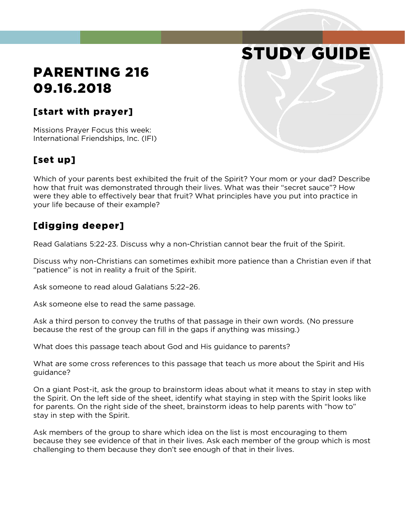# STUDY GUIDE

# PARENTING 216 09.16.2018

#### [start with prayer]

Missions Prayer Focus this week: International Friendships, Inc. (IFI)

#### [set up]

Which of your parents best exhibited the fruit of the Spirit? Your mom or your dad? Describe how that fruit was demonstrated through their lives. What was their "secret sauce"? How were they able to effectively bear that fruit? What principles have you put into practice in your life because of their example?

#### [digging deeper]

Read Galatians 5:22-23. Discuss why a non-Christian cannot bear the fruit of the Spirit.

Discuss why non-Christians can sometimes exhibit more patience than a Christian even if that "patience" is not in reality a fruit of the Spirit.

Ask someone to read aloud Galatians 5:22–26.

Ask someone else to read the same passage.

Ask a third person to convey the truths of that passage in their own words. (No pressure because the rest of the group can fill in the gaps if anything was missing.)

What does this passage teach about God and His guidance to parents?

What are some cross references to this passage that teach us more about the Spirit and His guidance?

On a giant Post-it, ask the group to brainstorm ideas about what it means to stay in step with the Spirit. On the left side of the sheet, identify what staying in step with the Spirit looks like for parents. On the right side of the sheet, brainstorm ideas to help parents with "how to" stay in step with the Spirit.

Ask members of the group to share which idea on the list is most encouraging to them because they see evidence of that in their lives. Ask each member of the group which is most challenging to them because they don't see enough of that in their lives.